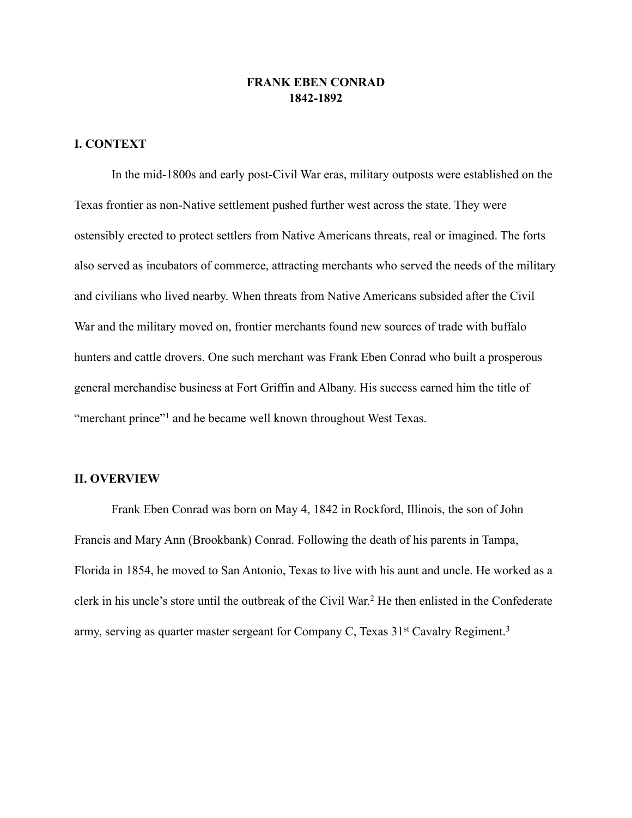## **FRANK EBEN CONRAD 1842-1892**

# **I. CONTEXT**

 In the mid-1800s and early post-Civil War eras, military outposts were established on the Texas frontier as non-Native settlement pushed further west across the state. They were ostensibly erected to protect settlers from Native Americans threats, real or imagined. The forts also served as incubators of commerce, attracting merchants who served the needs of the military and civilians who lived nearby. When threats from Native Americans subsided after the Civil War and the military moved on, frontier merchants found new sources of trade with buffalo hunters and cattle drovers. One such merchant was Frank Eben Conrad who built a prosperous general merchandise business at Fort Griffin and Albany. His success earned him the title of "merchant prince"<sup>1</sup> and he became well known throughout West Texas.

## **II. OVERVIEW**

 Frank Eben Conrad was born on May 4, 1842 in Rockford, Illinois, the son of John Francis and Mary Ann (Brookbank) Conrad. Following the death of his parents in Tampa, Florida in 1854, he moved to San Antonio, Texas to live with his aunt and uncle. He worked as a clerk in his uncle's store until the outbreak of the Civil War.<sup>2</sup> He then enlisted in the Confederate army, serving as quarter master sergeant for Company C, Texas 31<sup>st</sup> Cavalry Regiment.<sup>3</sup>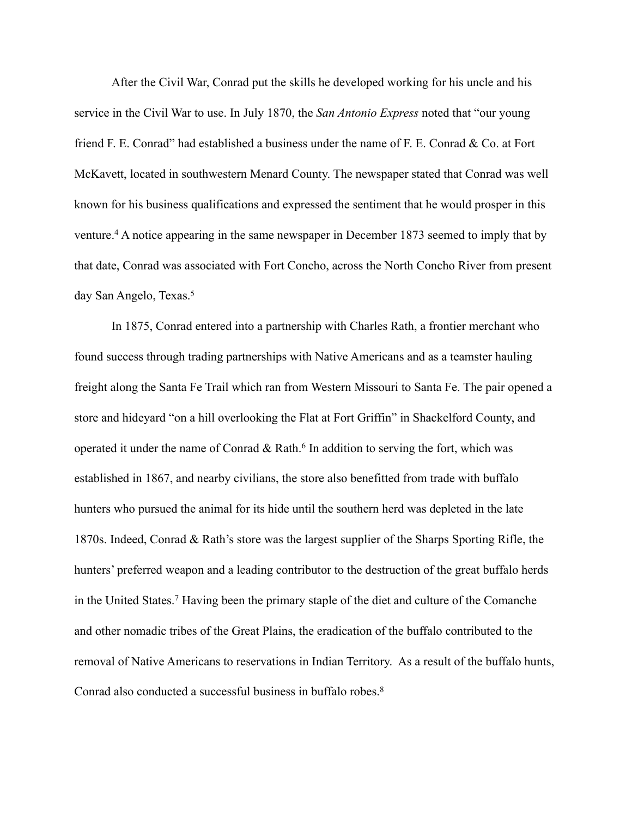After the Civil War, Conrad put the skills he developed working for his uncle and his service in the Civil War to use. In July 1870, the *San Antonio Express* noted that "our young friend F. E. Conrad" had established a business under the name of F. E. Conrad & Co. at Fort McKavett, located in southwestern Menard County. The newspaper stated that Conrad was well known for his business qualifications and expressed the sentiment that he would prosper in this venture.<sup>4</sup> A notice appearing in the same newspaper in December 1873 seemed to imply that by that date, Conrad was associated with Fort Concho, across the North Concho River from present day San Angelo, Texas.<sup>5</sup>

 In 1875, Conrad entered into a partnership with Charles Rath, a frontier merchant who found success through trading partnerships with Native Americans and as a teamster hauling freight along the Santa Fe Trail which ran from Western Missouri to Santa Fe. The pair opened a store and hideyard "on a hill overlooking the Flat at Fort Griffin" in Shackelford County, and operated it under the name of Conrad  $& \text{Rath.}^6$  In addition to serving the fort, which was established in 1867, and nearby civilians, the store also benefitted from trade with buffalo hunters who pursued the animal for its hide until the southern herd was depleted in the late 1870s. Indeed, Conrad & Rath's store was the largest supplier of the Sharps Sporting Rifle, the hunters' preferred weapon and a leading contributor to the destruction of the great buffalo herds in the United States.<sup>7</sup> Having been the primary staple of the diet and culture of the Comanche and other nomadic tribes of the Great Plains, the eradication of the buffalo contributed to the removal of Native Americans to reservations in Indian Territory. As a result of the buffalo hunts, Conrad also conducted a successful business in buffalo robes.<sup>8</sup>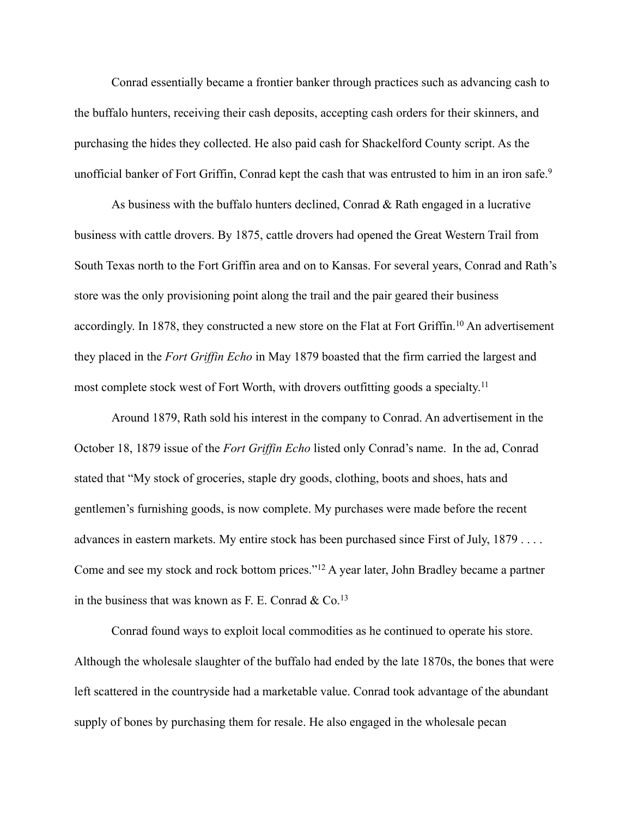Conrad essentially became a frontier banker through practices such as advancing cash to the buffalo hunters, receiving their cash deposits, accepting cash orders for their skinners, and purchasing the hides they collected. He also paid cash for Shackelford County script. As the unofficial banker of Fort Griffin, Conrad kept the cash that was entrusted to him in an iron safe.<sup>9</sup>

 As business with the buffalo hunters declined, Conrad & Rath engaged in a lucrative business with cattle drovers. By 1875, cattle drovers had opened the Great Western Trail from South Texas north to the Fort Griffin area and on to Kansas. For several years, Conrad and Rath's store was the only provisioning point along the trail and the pair geared their business accordingly. In 1878, they constructed a new store on the Flat at Fort Griffin.<sup>10</sup> An advertisement they placed in the *Fort Griffin Echo* in May 1879 boasted that the firm carried the largest and most complete stock west of Fort Worth, with drovers outfitting goods a specialty.11

 Around 1879, Rath sold his interest in the company to Conrad. An advertisement in the October 18, 1879 issue of the *Fort Griffin Echo* listed only Conrad's name. In the ad, Conrad stated that "My stock of groceries, staple dry goods, clothing, boots and shoes, hats and gentlemen's furnishing goods, is now complete. My purchases were made before the recent advances in eastern markets. My entire stock has been purchased since First of July, 1879 . . . . Come and see my stock and rock bottom prices."<sup>12</sup> A year later, John Bradley became a partner in the business that was known as F. E. Conrad  $& Co.<sup>13</sup>$ 

 Conrad found ways to exploit local commodities as he continued to operate his store. Although the wholesale slaughter of the buffalo had ended by the late 1870s, the bones that were left scattered in the countryside had a marketable value. Conrad took advantage of the abundant supply of bones by purchasing them for resale. He also engaged in the wholesale pecan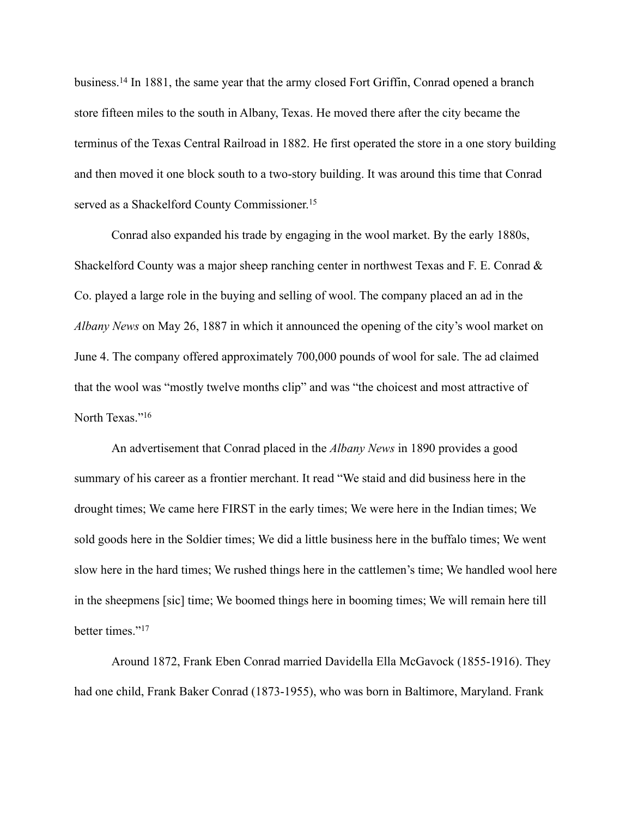business.<sup>14</sup> In 1881, the same year that the army closed Fort Griffin, Conrad opened a branch store fifteen miles to the south in Albany, Texas. He moved there after the city became the terminus of the Texas Central Railroad in 1882. He first operated the store in a one story building and then moved it one block south to a two-story building. It was around this time that Conrad served as a Shackelford County Commissioner.<sup>15</sup>

 Conrad also expanded his trade by engaging in the wool market. By the early 1880s, Shackelford County was a major sheep ranching center in northwest Texas and F. E. Conrad & Co. played a large role in the buying and selling of wool. The company placed an ad in the *Albany News* on May 26, 1887 in which it announced the opening of the city's wool market on June 4. The company offered approximately 700,000 pounds of wool for sale. The ad claimed that the wool was "mostly twelve months clip" and was "the choicest and most attractive of North Texas."<sup>16</sup>

 An advertisement that Conrad placed in the *Albany News* in 1890 provides a good summary of his career as a frontier merchant. It read "We staid and did business here in the drought times; We came here FIRST in the early times; We were here in the Indian times; We sold goods here in the Soldier times; We did a little business here in the buffalo times; We went slow here in the hard times; We rushed things here in the cattlemen's time; We handled wool here in the sheepmens [sic] time; We boomed things here in booming times; We will remain here till better times."<sup>17</sup>

 Around 1872, Frank Eben Conrad married Davidella Ella McGavock (1855-1916). They had one child, Frank Baker Conrad (1873-1955), who was born in Baltimore, Maryland. Frank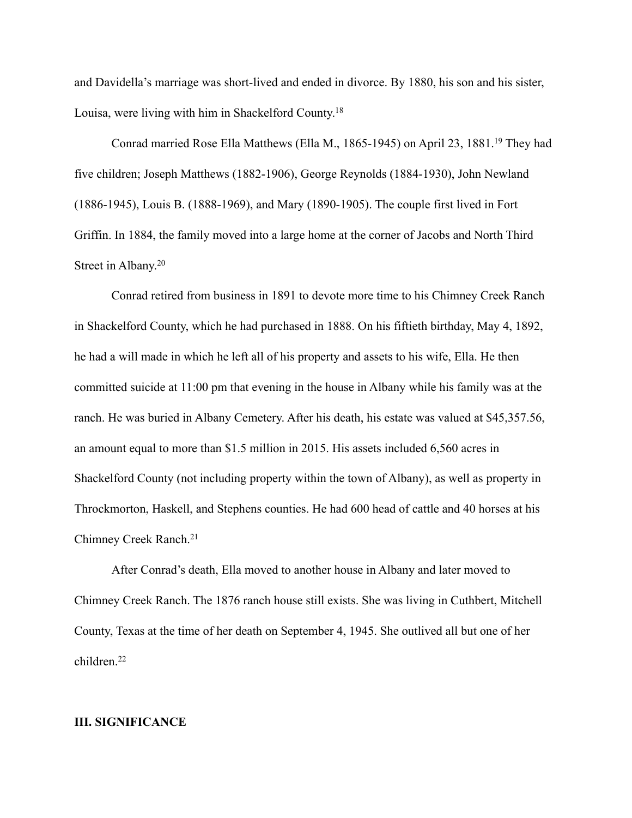and Davidella's marriage was short-lived and ended in divorce. By 1880, his son and his sister, Louisa, were living with him in Shackelford County.18

Conrad married Rose Ella Matthews (Ella M., 1865-1945) on April 23, 1881.<sup>19</sup> They had five children; Joseph Matthews (1882-1906), George Reynolds (1884-1930), John Newland (1886-1945), Louis B. (1888-1969), and Mary (1890-1905). The couple first lived in Fort Griffin. In 1884, the family moved into a large home at the corner of Jacobs and North Third Street in Albany.20

 Conrad retired from business in 1891 to devote more time to his Chimney Creek Ranch in Shackelford County, which he had purchased in 1888. On his fiftieth birthday, May 4, 1892, he had a will made in which he left all of his property and assets to his wife, Ella. He then committed suicide at 11:00 pm that evening in the house in Albany while his family was at the ranch. He was buried in Albany Cemetery. After his death, his estate was valued at \$45,357.56, an amount equal to more than \$1.5 million in 2015. His assets included 6,560 acres in Shackelford County (not including property within the town of Albany), as well as property in Throckmorton, Haskell, and Stephens counties. He had 600 head of cattle and 40 horses at his Chimney Creek Ranch.21

 After Conrad's death, Ella moved to another house in Albany and later moved to Chimney Creek Ranch. The 1876 ranch house still exists. She was living in Cuthbert, Mitchell County, Texas at the time of her death on September 4, 1945. She outlived all but one of her children.22

#### **III. SIGNIFICANCE**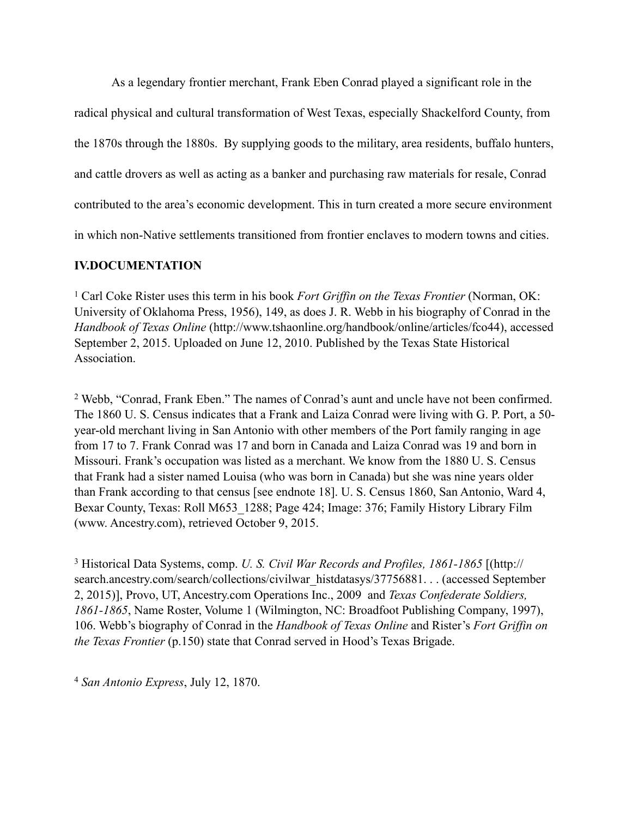As a legendary frontier merchant, Frank Eben Conrad played a significant role in the radical physical and cultural transformation of West Texas, especially Shackelford County, from the 1870s through the 1880s. By supplying goods to the military, area residents, buffalo hunters, and cattle drovers as well as acting as a banker and purchasing raw materials for resale, Conrad contributed to the area's economic development. This in turn created a more secure environment in which non-Native settlements transitioned from frontier enclaves to modern towns and cities.

## **IV.DOCUMENTATION**

<sup>1</sup> Carl Coke Rister uses this term in his book *Fort Griffin on the Texas Frontier* (Norman, OK: University of Oklahoma Press, 1956), 149, as does J. R. Webb in his biography of Conrad in the *Handbook of Texas Online* (http://www.tshaonline.org/handbook/online/articles/fco44), accessed September 2, 2015. Uploaded on June 12, 2010. Published by the Texas State Historical Association.

<sup>2</sup> Webb, "Conrad, Frank Eben." The names of Conrad's aunt and uncle have not been confirmed. The 1860 U. S. Census indicates that a Frank and Laiza Conrad were living with G. P. Port, a 50 year-old merchant living in San Antonio with other members of the Port family ranging in age from 17 to 7. Frank Conrad was 17 and born in Canada and Laiza Conrad was 19 and born in Missouri. Frank's occupation was listed as a merchant. We know from the 1880 U. S. Census that Frank had a sister named Louisa (who was born in Canada) but she was nine years older than Frank according to that census [see endnote 18]. U. S. Census 1860, San Antonio, Ward 4, Bexar County, Texas: Roll M653\_1288; Page 424; Image: 376; Family History Library Film (www. Ancestry.com), retrieved October 9, 2015.

 Historical Data Systems, comp. *U. S. Civil War Records and Profiles, 1861-1865* [(http:// <sup>3</sup> [search.ancestry.com/search/collections/civilwar\\_histdatasys/37756881. . . \(accessed Septem](http://search.ancestry.com/search/collections/civilwar_histdatasys/37756881)ber 2, 2015)], Provo, UT, Ancestry.com Operations Inc., 2009 and *Texas Confederate Soldiers, 1861-1865*, Name Roster, Volume 1 (Wilmington, NC: Broadfoot Publishing Company, 1997), 106. Webb's biography of Conrad in the *Handbook of Texas Online* and Rister's *Fort Griffin on the Texas Frontier* (p.150) state that Conrad served in Hood's Texas Brigade.

*San Antonio Express*, July 12, 1870. <sup>4</sup>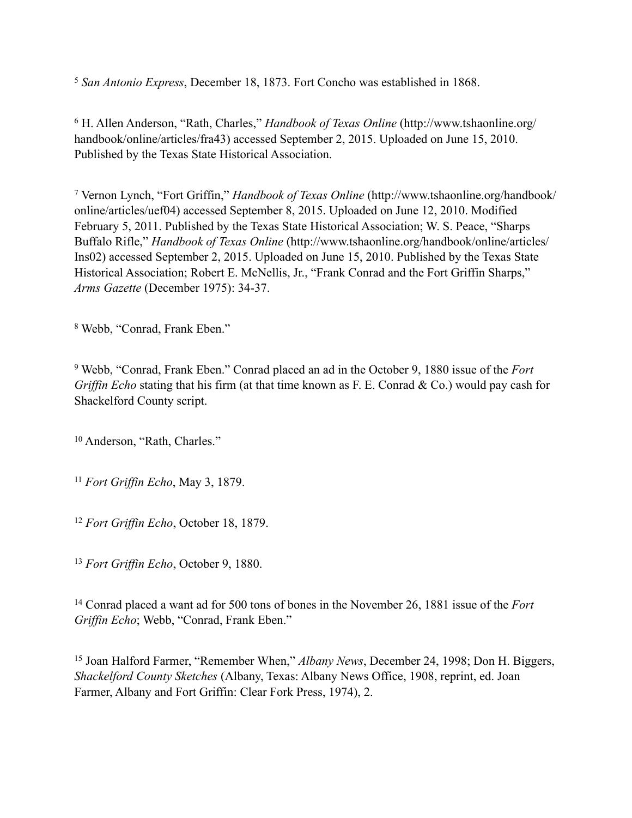<sup>5</sup> San Antonio Express, December 18, 1873. Fort Concho was established in 1868.

<sup>6</sup> H. Allen Anderson, "Rath, Charles," *Handbook of Texas Online* (http://www.tshaonline.org/ handbook/online/articles/fra43) accessed September 2, 2015. Uploaded on June 15, 2010. Published by the Texas State Historical Association.

 Vernon Lynch, "Fort Griffin," *Handbook of Texas Online* (http://www.tshaonline.org/handbook/ <sup>7</sup> [online/articles/uef04\) accessed September 8, 2015. Uploaded on June 12, 2010. Modified](http://www.tshaonline.org/handbook/online/articles/uef04)  February 5, 2011. Published by the Texas State Historical Association; W. S. Peace, "Sharps Buffalo Rifle," *Handbook of Texas Online* (http://www.tshaonline.org/handbook/online/articles/ [Ins02\) accessed September 2, 2015. Uploaded on June 15, 2010. Published by the Texas State](http://www.tshaonline.org/handbook/online/articles/Ins02)  Historical Association; Robert E. McNellis, Jr., "Frank Conrad and the Fort Griffin Sharps," *Arms Gazette* (December 1975): 34-37.

<sup>8</sup> Webb, "Conrad, Frank Eben."

<sup>9</sup> Webb, "Conrad, Frank Eben." Conrad placed an ad in the October 9, 1880 issue of the *Fort Griffin Echo* stating that his firm (at that time known as F. E. Conrad & Co.) would pay cash for Shackelford County script.

<sup>10</sup> Anderson, "Rath, Charles."

<sup>11</sup> Fort Griffin Echo, May 3, 1879.

<sup>12</sup> Fort Griffin Echo, October 18, 1879.

<sup>13</sup> Fort Griffin Echo, October 9, 1880.

<sup>14</sup> Conrad placed a want ad for 500 tons of bones in the November 26, 1881 issue of the *Fort Griffin Echo*; Webb, "Conrad, Frank Eben."

<sup>15</sup> Joan Halford Farmer, "Remember When," *Albany News*, December 24, 1998; Don H. Biggers, *Shackelford County Sketches* (Albany, Texas: Albany News Office, 1908, reprint, ed. Joan Farmer, Albany and Fort Griffin: Clear Fork Press, 1974), 2.